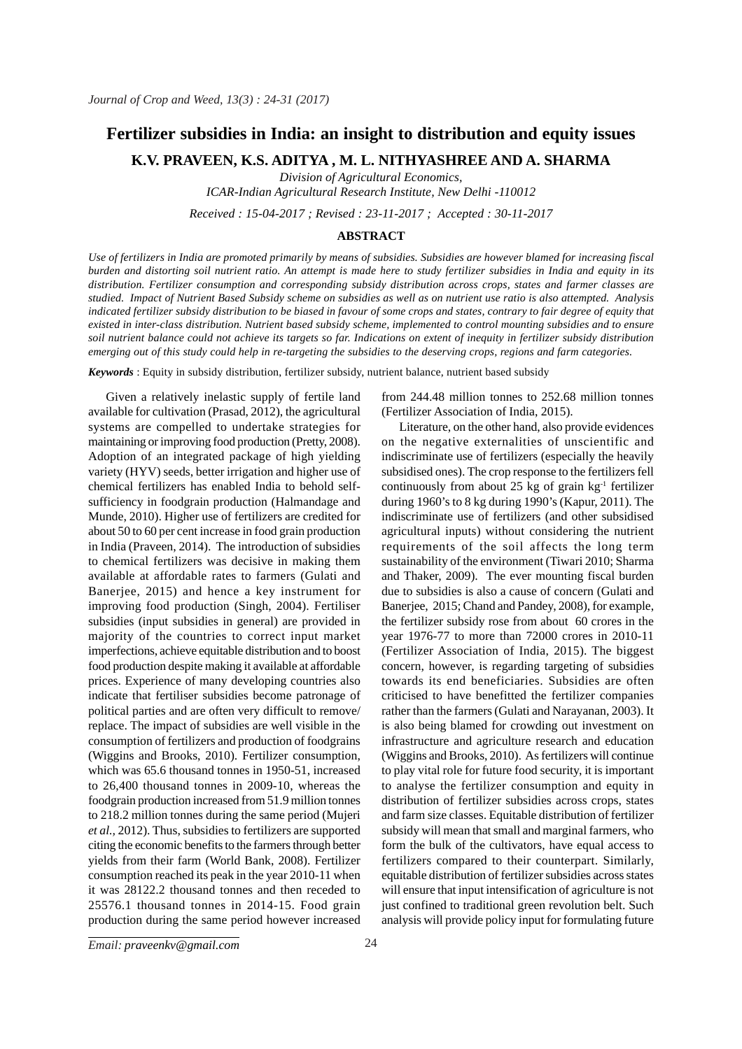# **Fertilizer subsidies in India: an insight to distribution and equity issues**

**K.V. PRAVEEN, K.S. ADITYA , M. L. NITHYASHREE AND A. SHARMA**

*Division of Agricultural Economics,*

*ICAR-Indian Agricultural Research Institute, New Delhi -110012*

*Received : 15-04-2017 ; Revised : 23-11-2017 ; Accepted : 30-11-2017*

### **ABSTRACT**

*Use of fertilizers in India are promoted primarily by means of subsidies. Subsidies are however blamed for increasing fiscal burden and distorting soil nutrient ratio. An attempt is made here to study fertilizer subsidies in India and equity in its distribution. Fertilizer consumption and corresponding subsidy distribution across crops, states and farmer classes are studied. Impact of Nutrient Based Subsidy scheme on subsidies as well as on nutrient use ratio is also attempted. Analysis indicated fertilizer subsidy distribution to be biased in favour of some crops and states, contrary to fair degree of equity that existed in inter-class distribution. Nutrient based subsidy scheme, implemented to control mounting subsidies and to ensure soil nutrient balance could not achieve its targets so far. Indications on extent of inequity in fertilizer subsidy distribution emerging out of this study could help in re-targeting the subsidies to the deserving crops, regions and farm categories.*

*Keywords* : Equity in subsidy distribution, fertilizer subsidy, nutrient balance, nutrient based subsidy

Given a relatively inelastic supply of fertile land available for cultivation (Prasad, 2012), the agricultural systems are compelled to undertake strategies for maintaining or improving food production (Pretty, 2008). Adoption of an integrated package of high yielding variety (HYV) seeds, better irrigation and higher use of chemical fertilizers has enabled India to behold selfsufficiency in foodgrain production (Halmandage and Munde, 2010). Higher use of fertilizers are credited for about 50 to 60 per cent increase in food grain production in India (Praveen, 2014). The introduction of subsidies to chemical fertilizers was decisive in making them available at affordable rates to farmers (Gulati and Banerjee, 2015) and hence a key instrument for improving food production (Singh, 2004). Fertiliser subsidies (input subsidies in general) are provided in majority of the countries to correct input market imperfections, achieve equitable distribution and to boost food production despite making it available at affordable prices. Experience of many developing countries also indicate that fertiliser subsidies become patronage of political parties and are often very difficult to remove/ replace. The impact of subsidies are well visible in the consumption of fertilizers and production of foodgrains (Wiggins and Brooks, 2010). Fertilizer consumption, which was 65.6 thousand tonnes in 1950-51, increased to 26,400 thousand tonnes in 2009-10, whereas the foodgrain production increased from 51.9 million tonnes to 218.2 million tonnes during the same period (Mujeri *et al.,* 2012). Thus, subsidies to fertilizers are supported citing the economic benefits to the farmers through better yields from their farm (World Bank, 2008). Fertilizer consumption reached its peak in the year 2010-11 when it was 28122.2 thousand tonnes and then receded to 25576.1 thousand tonnes in 2014-15. Food grain production during the same period however increased from 244.48 million tonnes to 252.68 million tonnes (Fertilizer Association of India, 2015).

Literature, on the other hand, also provide evidences on the negative externalities of unscientific and indiscriminate use of fertilizers (especially the heavily subsidised ones). The crop response to the fertilizers fell continuously from about 25 kg of grain  $kg<sup>-1</sup>$  fertilizer during 1960's to 8 kg during 1990's (Kapur, 2011). The indiscriminate use of fertilizers (and other subsidised agricultural inputs) without considering the nutrient requirements of the soil affects the long term sustainability of the environment (Tiwari 2010; Sharma and Thaker, 2009). The ever mounting fiscal burden due to subsidies is also a cause of concern (Gulati and Banerjee, 2015; Chand and Pandey, 2008), for example, the fertilizer subsidy rose from about 60 crores in the year 1976-77 to more than 72000 crores in 2010-11 (Fertilizer Association of India, 2015). The biggest concern, however, is regarding targeting of subsidies towards its end beneficiaries. Subsidies are often criticised to have benefitted the fertilizer companies rather than the farmers (Gulati and Narayanan, 2003). It is also being blamed for crowding out investment on infrastructure and agriculture research and education (Wiggins and Brooks, 2010). As fertilizers will continue to play vital role for future food security, it is important to analyse the fertilizer consumption and equity in distribution of fertilizer subsidies across crops, states and farm size classes. Equitable distribution of fertilizer subsidy will mean that small and marginal farmers, who form the bulk of the cultivators, have equal access to fertilizers compared to their counterpart. Similarly, equitable distribution of fertilizer subsidies across states will ensure that input intensification of agriculture is not just confined to traditional green revolution belt. Such analysis will provide policy input for formulating future

*J. Crop and Weed, 13(3)* 24 *Email: praveenkv@gmail.com*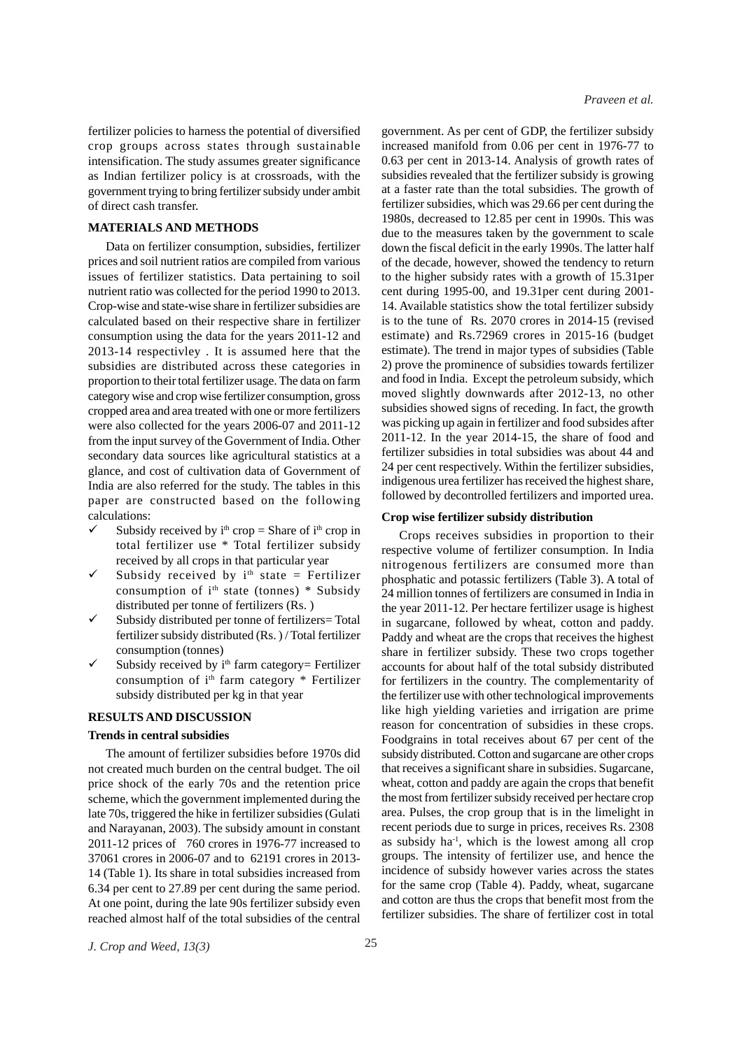*Praveen et al.*

fertilizer policies to harness the potential of diversified crop groups across states through sustainable intensification. The study assumes greater significance as Indian fertilizer policy is at crossroads, with the government trying to bring fertilizer subsidy under ambit of direct cash transfer.

## **MATERIALS AND METHODS**

Data on fertilizer consumption, subsidies, fertilizer prices and soil nutrient ratios are compiled from various issues of fertilizer statistics. Data pertaining to soil nutrient ratio was collected for the period 1990 to 2013. Crop-wise and state-wise share in fertilizer subsidies are calculated based on their respective share in fertilizer consumption using the data for the years 2011-12 and 2013-14 respectivley . It is assumed here that the subsidies are distributed across these categories in proportion to their total fertilizer usage. The data on farm category wise and crop wise fertilizer consumption, gross cropped area and area treated with one or more fertilizers were also collected for the years 2006-07 and 2011-12 from the input survey of the Government of India. Other secondary data sources like agricultural statistics at a glance, and cost of cultivation data of Government of India are also referred for the study. The tables in this paper are constructed based on the following calculations:

- Subsidy received by  $i^{th}$  crop = Share of  $i^{th}$  crop in total fertilizer use \* Total fertilizer subsidy received by all crops in that particular year
- Subsidy received by  $i<sup>th</sup>$  state = Fertilizer consumption of  $i<sup>th</sup>$  state (tonnes) \* Subsidy distributed per tonne of fertilizers (Rs. )
- Subsidy distributed per tonne of fertilizers= Total fertilizer subsidy distributed (Rs. ) / Total fertilizer consumption (tonnes)
- Subsidy received by  $i<sup>th</sup>$  farm category= Fertilizer consumption of i<sup>th</sup> farm category \* Fertilizer subsidy distributed per kg in that year

#### **RESULTS AND DISCUSSION**

#### **Trends in central subsidies**

The amount of fertilizer subsidies before 1970s did not created much burden on the central budget. The oil price shock of the early 70s and the retention price scheme, which the government implemented during the late 70s, triggered the hike in fertilizer subsidies (Gulati and Narayanan, 2003). The subsidy amount in constant 2011-12 prices of 760 crores in 1976-77 increased to 37061 crores in 2006-07 and to 62191 crores in 2013- 14 (Table 1). Its share in total subsidies increased from 6.34 per cent to 27.89 per cent during the same period. At one point, during the late 90s fertilizer subsidy even reached almost half of the total subsidies of the central

government. As per cent of GDP, the fertilizer subsidy increased manifold from 0.06 per cent in 1976-77 to 0.63 per cent in 2013-14. Analysis of growth rates of subsidies revealed that the fertilizer subsidy is growing at a faster rate than the total subsidies. The growth of fertilizer subsidies, which was 29.66 per cent during the 1980s, decreased to 12.85 per cent in 1990s. This was due to the measures taken by the government to scale down the fiscal deficit in the early 1990s. The latter half of the decade, however, showed the tendency to return to the higher subsidy rates with a growth of 15.31per cent during 1995-00, and 19.31per cent during 2001- 14. Available statistics show the total fertilizer subsidy is to the tune of Rs. 2070 crores in 2014-15 (revised estimate) and Rs.72969 crores in 2015-16 (budget estimate). The trend in major types of subsidies (Table 2) prove the prominence of subsidies towards fertilizer and food in India. Except the petroleum subsidy, which moved slightly downwards after 2012-13, no other subsidies showed signs of receding. In fact, the growth was picking up again in fertilizer and food subsides after 2011-12. In the year 2014-15, the share of food and fertilizer subsidies in total subsidies was about 44 and 24 per cent respectively. Within the fertilizer subsidies, indigenous urea fertilizer has received the highest share, followed by decontrolled fertilizers and imported urea.

#### **Crop wise fertilizer subsidy distribution**

Crops receives subsidies in proportion to their respective volume of fertilizer consumption. In India nitrogenous fertilizers are consumed more than phosphatic and potassic fertilizers (Table 3). A total of 24 million tonnes of fertilizers are consumed in India in the year 2011-12. Per hectare fertilizer usage is highest in sugarcane, followed by wheat, cotton and paddy. Paddy and wheat are the crops that receives the highest share in fertilizer subsidy. These two crops together accounts for about half of the total subsidy distributed for fertilizers in the country. The complementarity of the fertilizer use with other technological improvements like high yielding varieties and irrigation are prime reason for concentration of subsidies in these crops. Foodgrains in total receives about 67 per cent of the subsidy distributed. Cotton and sugarcane are other crops that receives a significant share in subsidies. Sugarcane, wheat, cotton and paddy are again the crops that benefit the most from fertilizer subsidy received per hectare crop area. Pulses, the crop group that is in the limelight in recent periods due to surge in prices, receives Rs. 2308 as subsidy  $ha^{-1}$ , which is the lowest among all crop groups. The intensity of fertilizer use, and hence the incidence of subsidy however varies across the states for the same crop (Table 4). Paddy, wheat, sugarcane and cotton are thus the crops that benefit most from the fertilizer subsidies. The share of fertilizer cost in total

*J. Crop and Weed, 13(3)* 25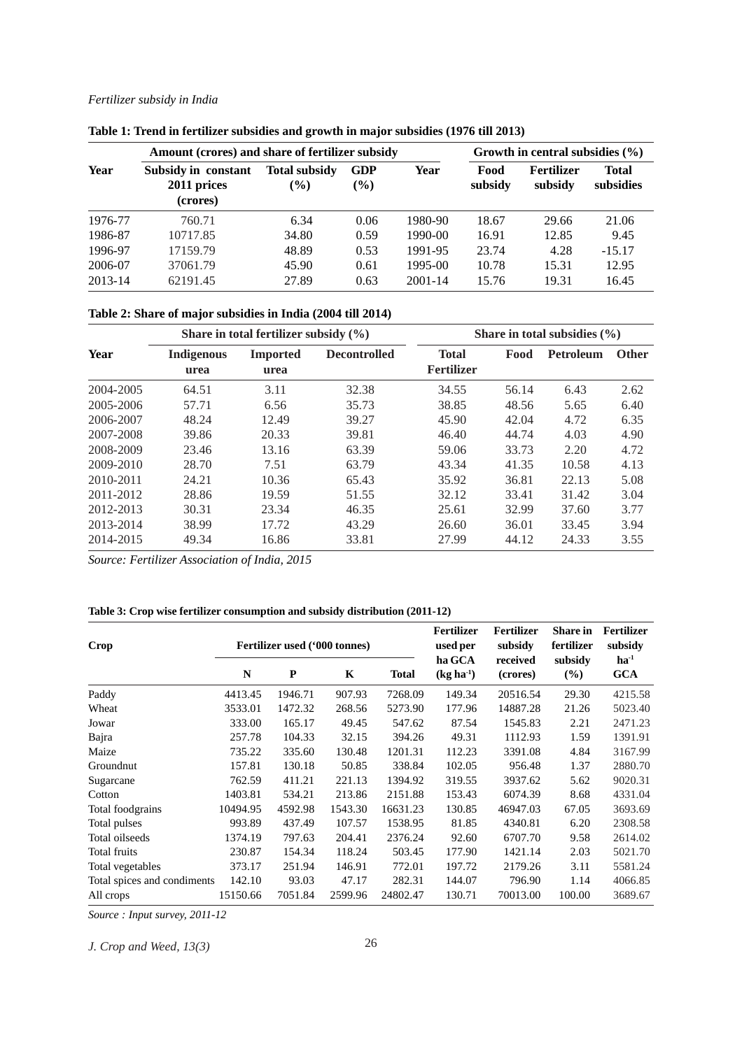## *Fertilizer subsidy in India*

|         | Amount (crores) and share of fertilizer subsidy |                                |                      |         | Growth in central subsidies $(\% )$ |                       |                           |  |
|---------|-------------------------------------------------|--------------------------------|----------------------|---------|-------------------------------------|-----------------------|---------------------------|--|
| Year    | Subsidy in constant<br>2011 prices<br>(crores)  | <b>Total subsidy</b><br>$($ %) | <b>GDP</b><br>$(\%)$ | Year    | Food<br>subsidy                     | Fertilizer<br>subsidy | <b>Total</b><br>subsidies |  |
| 1976-77 | 760.71                                          | 6.34                           | 0.06                 | 1980-90 | 18.67                               | 29.66                 | 21.06                     |  |
| 1986-87 | 10717.85                                        | 34.80                          | 0.59                 | 1990-00 | 16.91                               | 12.85                 | 9.45                      |  |
| 1996-97 | 17159.79                                        | 48.89                          | 0.53                 | 1991-95 | 23.74                               | 4.28                  | $-15.17$                  |  |
| 2006-07 | 37061.79                                        | 45.90                          | 0.61                 | 1995-00 | 10.78                               | 15.31                 | 12.95                     |  |
| 2013-14 | 62191.45                                        | 27.89                          | 0.63                 | 2001-14 | 15.76                               | 19.31                 | 16.45                     |  |

**Table 1: Trend in fertilizer subsidies and growth in major subsidies (1976 till 2013)**

# **Table 2: Share of major subsidies in India (2004 till 2014)**

|           | Share in total fertilizer subsidy $(\% )$ |                         |                     | Share in total subsidies $(\% )$  |       |                  |              |  |  |
|-----------|-------------------------------------------|-------------------------|---------------------|-----------------------------------|-------|------------------|--------------|--|--|
| Year      | <b>Indigenous</b><br>urea                 | <b>Imported</b><br>urea | <b>Decontrolled</b> | <b>Total</b><br><b>Fertilizer</b> | Food  | <b>Petroleum</b> | <b>Other</b> |  |  |
| 2004-2005 | 64.51                                     | 3.11                    | 32.38               | 34.55                             | 56.14 | 6.43             | 2.62         |  |  |
| 2005-2006 | 57.71                                     | 6.56                    | 35.73               | 38.85                             | 48.56 | 5.65             | 6.40         |  |  |
| 2006-2007 | 48.24                                     | 12.49                   | 39.27               | 45.90                             | 42.04 | 4.72             | 6.35         |  |  |
| 2007-2008 | 39.86                                     | 20.33                   | 39.81               | 46.40                             | 44.74 | 4.03             | 4.90         |  |  |
| 2008-2009 | 23.46                                     | 13.16                   | 63.39               | 59.06                             | 33.73 | 2.20             | 4.72         |  |  |
| 2009-2010 | 28.70                                     | 7.51                    | 63.79               | 43.34                             | 41.35 | 10.58            | 4.13         |  |  |
| 2010-2011 | 24.21                                     | 10.36                   | 65.43               | 35.92                             | 36.81 | 22.13            | 5.08         |  |  |
| 2011-2012 | 28.86                                     | 19.59                   | 51.55               | 32.12                             | 33.41 | 31.42            | 3.04         |  |  |
| 2012-2013 | 30.31                                     | 23.34                   | 46.35               | 25.61                             | 32.99 | 37.60            | 3.77         |  |  |
| 2013-2014 | 38.99                                     | 17.72                   | 43.29               | 26.60                             | 36.01 | 33.45            | 3.94         |  |  |
| 2014-2015 | 49.34                                     | 16.86                   | 33.81               | 27.99                             | 44.12 | 24.33            | 3.55         |  |  |

*Source: Fertilizer Association of India, 2015*

# **Table 3: Crop wise fertilizer consumption and subsidy distribution (2011-12)**

| Crop                        |          | Fertilizer used ('000 tonnes) |         |          | <b>Fertilizer</b><br>used per<br>ha GCA | <b>Fertilizer</b><br>subsidy | <b>Share</b> in<br>fertilizer<br>subsidy | Fertilizer<br>subsidy<br>$ha^{-1}$ |
|-----------------------------|----------|-------------------------------|---------|----------|-----------------------------------------|------------------------------|------------------------------------------|------------------------------------|
|                             | N        | ${\bf P}$                     | K       | Total    | $(kg ha-1)$                             | received<br>(crores)         | $(\%)$                                   | GCA                                |
| Paddy                       | 4413.45  | 1946.71                       | 907.93  | 7268.09  | 149.34                                  | 20516.54                     | 29.30                                    | 4215.58                            |
| Wheat                       | 3533.01  | 1472.32                       | 268.56  | 5273.90  | 177.96                                  | 14887.28                     | 21.26                                    | 5023.40                            |
| Jowar                       | 333.00   | 165.17                        | 49.45   | 547.62   | 87.54                                   | 1545.83                      | 2.21                                     | 2471.23                            |
| Bajra                       | 257.78   | 104.33                        | 32.15   | 394.26   | 49.31                                   | 1112.93                      | 1.59                                     | 1391.91                            |
| Maize                       | 735.22   | 335.60                        | 130.48  | 1201.31  | 112.23                                  | 3391.08                      | 4.84                                     | 3167.99                            |
| Groundnut                   | 157.81   | 130.18                        | 50.85   | 338.84   | 102.05                                  | 956.48                       | 1.37                                     | 2880.70                            |
| Sugarcane                   | 762.59   | 411.21                        | 221.13  | 1394.92  | 319.55                                  | 3937.62                      | 5.62                                     | 9020.31                            |
| Cotton                      | 1403.81  | 534.21                        | 213.86  | 2151.88  | 153.43                                  | 6074.39                      | 8.68                                     | 4331.04                            |
| Total foodgrains            | 10494.95 | 4592.98                       | 1543.30 | 16631.23 | 130.85                                  | 46947.03                     | 67.05                                    | 3693.69                            |
| Total pulses                | 993.89   | 437.49                        | 107.57  | 1538.95  | 81.85                                   | 4340.81                      | 6.20                                     | 2308.58                            |
| Total oilseeds              | 1374.19  | 797.63                        | 204.41  | 2376.24  | 92.60                                   | 6707.70                      | 9.58                                     | 2614.02                            |
| Total fruits                | 230.87   | 154.34                        | 118.24  | 503.45   | 177.90                                  | 1421.14                      | 2.03                                     | 5021.70                            |
| Total vegetables            | 373.17   | 251.94                        | 146.91  | 772.01   | 197.72                                  | 2179.26                      | 3.11                                     | 5581.24                            |
| Total spices and condiments | 142.10   | 93.03                         | 47.17   | 282.31   | 144.07                                  | 796.90                       | 1.14                                     | 4066.85                            |
| All crops                   | 15150.66 | 7051.84                       | 2599.96 | 24802.47 | 130.71                                  | 70013.00                     | 100.00                                   | 3689.67                            |

*Source : Input survey, 2011-12*

*J. Crop and Weed, 13(3)* 26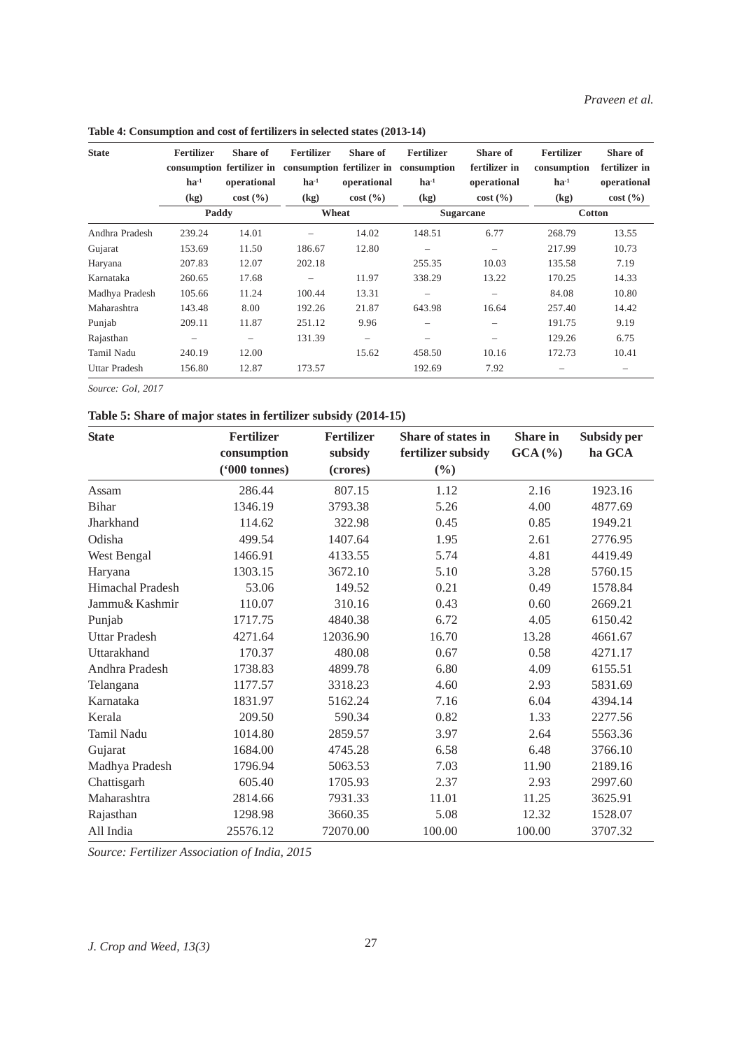**Table 4: Consumption and cost of fertilizers in selected states (2013-14)**

| <b>State</b>         | <b>Fertilizer</b><br>consumption fertilizer in<br>$\mathbf{h} \mathbf{a}^{-1}$ | Share of<br>operational | <b>Fertilizer</b><br>$ha^{-1}$ | Share of<br>operational  | <b>Fertilizer</b><br>consumption fertilizer in consumption<br>$ha^{-1}$ | Share of<br>fertilizer in<br>operational | <b>Fertilizer</b><br>consumption<br>$\mathbf{h} \mathbf{a}^{-1}$ | Share of<br>fertilizer in<br>operational |  |
|----------------------|--------------------------------------------------------------------------------|-------------------------|--------------------------------|--------------------------|-------------------------------------------------------------------------|------------------------------------------|------------------------------------------------------------------|------------------------------------------|--|
|                      | (kg)                                                                           | cost(%)                 | $\left( \mathrm{kg} \right)$   | cost(%)                  | (kg)                                                                    | cost(%)                                  | (kg)                                                             | cost(%)                                  |  |
|                      | Paddy                                                                          |                         | Wheat                          |                          |                                                                         | <b>Sugarcane</b>                         | <b>Cotton</b>                                                    |                                          |  |
| Andhra Pradesh       | 239.24                                                                         | 14.01                   |                                | 14.02                    | 148.51                                                                  | 6.77                                     | 268.79                                                           | 13.55                                    |  |
| Gujarat              | 153.69                                                                         | 11.50                   | 186.67                         | 12.80                    | $\qquad \qquad -$                                                       | $\overline{\phantom{0}}$                 | 217.99                                                           | 10.73                                    |  |
| Haryana              | 207.83                                                                         | 12.07                   | 202.18                         |                          | 255.35                                                                  | 10.03                                    | 135.58                                                           | 7.19                                     |  |
| Karnataka            | 260.65                                                                         | 17.68                   | $\overline{\phantom{0}}$       | 11.97                    | 338.29                                                                  | 13.22                                    | 170.25                                                           | 14.33                                    |  |
| Madhya Pradesh       | 105.66                                                                         | 11.24                   | 100.44                         | 13.31                    | $\qquad \qquad -$                                                       | $\overline{\phantom{0}}$                 | 84.08                                                            | 10.80                                    |  |
| Maharashtra          | 143.48                                                                         | 8.00                    | 192.26                         | 21.87                    | 643.98                                                                  | 16.64                                    | 257.40                                                           | 14.42                                    |  |
| Punjab               | 209.11                                                                         | 11.87                   | 251.12                         | 9.96                     |                                                                         |                                          | 191.75                                                           | 9.19                                     |  |
| Rajasthan            | $\qquad \qquad -$                                                              | $\qquad \qquad -$       | 131.39                         | $\overline{\phantom{a}}$ |                                                                         |                                          | 129.26                                                           | 6.75                                     |  |
| Tamil Nadu           | 240.19                                                                         | 12.00                   |                                | 15.62                    | 458.50                                                                  | 10.16                                    | 172.73                                                           | 10.41                                    |  |
| <b>Uttar Pradesh</b> | 156.80                                                                         | 12.87                   | 173.57                         |                          | 192.69                                                                  | 7.92                                     |                                                                  |                                          |  |

*Source: GoI, 2017*

# **Table 5: Share of major states in fertilizer subsidy (2014-15)**

| <b>State</b>         | <b>Fertilizer</b><br>consumption<br>$(900 \t  \t 0$ | <b>Fertilizer</b><br>subsidy<br>(crores) | Share of states in<br>fertilizer subsidy<br>$(\%)$ | <b>Share in</b><br>GCA (%) | Subsidy per<br>ha GCA |
|----------------------|-----------------------------------------------------|------------------------------------------|----------------------------------------------------|----------------------------|-----------------------|
| Assam                | 286.44                                              | 807.15                                   | 1.12                                               | 2.16                       | 1923.16               |
| <b>Bihar</b>         | 1346.19                                             | 3793.38                                  | 5.26                                               | 4.00                       | 4877.69               |
| Jharkhand            | 114.62                                              | 322.98                                   | 0.45                                               | 0.85                       | 1949.21               |
| Odisha               | 499.54                                              | 1407.64                                  | 1.95                                               | 2.61                       | 2776.95               |
| West Bengal          | 1466.91                                             | 4133.55                                  | 5.74                                               | 4.81                       | 4419.49               |
| Haryana              | 1303.15                                             | 3672.10                                  | 5.10                                               | 3.28                       | 5760.15               |
| Himachal Pradesh     | 53.06                                               | 149.52                                   | 0.21                                               | 0.49                       | 1578.84               |
| Jammu& Kashmir       | 110.07                                              | 310.16                                   | 0.43                                               | 0.60                       | 2669.21               |
| Punjab               | 1717.75                                             | 4840.38                                  | 6.72                                               | 4.05                       | 6150.42               |
| <b>Uttar Pradesh</b> | 4271.64                                             | 12036.90                                 | 16.70                                              | 13.28                      | 4661.67               |
| Uttarakhand          | 170.37                                              | 480.08                                   | 0.67                                               | 0.58                       | 4271.17               |
| Andhra Pradesh       | 1738.83                                             | 4899.78                                  | 6.80                                               | 4.09                       | 6155.51               |
| Telangana            | 1177.57                                             | 3318.23                                  | 4.60                                               | 2.93                       | 5831.69               |
| Karnataka            | 1831.97                                             | 5162.24                                  | 7.16                                               | 6.04                       | 4394.14               |
| Kerala               | 209.50                                              | 590.34                                   | 0.82                                               | 1.33                       | 2277.56               |
| Tamil Nadu           | 1014.80                                             | 2859.57                                  | 3.97                                               | 2.64                       | 5563.36               |
| Gujarat              | 1684.00                                             | 4745.28                                  | 6.58                                               | 6.48                       | 3766.10               |
| Madhya Pradesh       | 1796.94                                             | 5063.53                                  | 7.03                                               | 11.90                      | 2189.16               |
| Chattisgarh          | 605.40                                              | 1705.93                                  | 2.37                                               | 2.93                       | 2997.60               |
| Maharashtra          | 2814.66                                             | 7931.33                                  | 11.01                                              | 11.25                      | 3625.91               |
| Rajasthan            | 1298.98                                             | 3660.35                                  | 5.08                                               | 12.32                      | 1528.07               |
| All India            | 25576.12                                            | 72070.00                                 | 100.00                                             | 100.00                     | 3707.32               |

*Source: Fertilizer Association of India, 2015*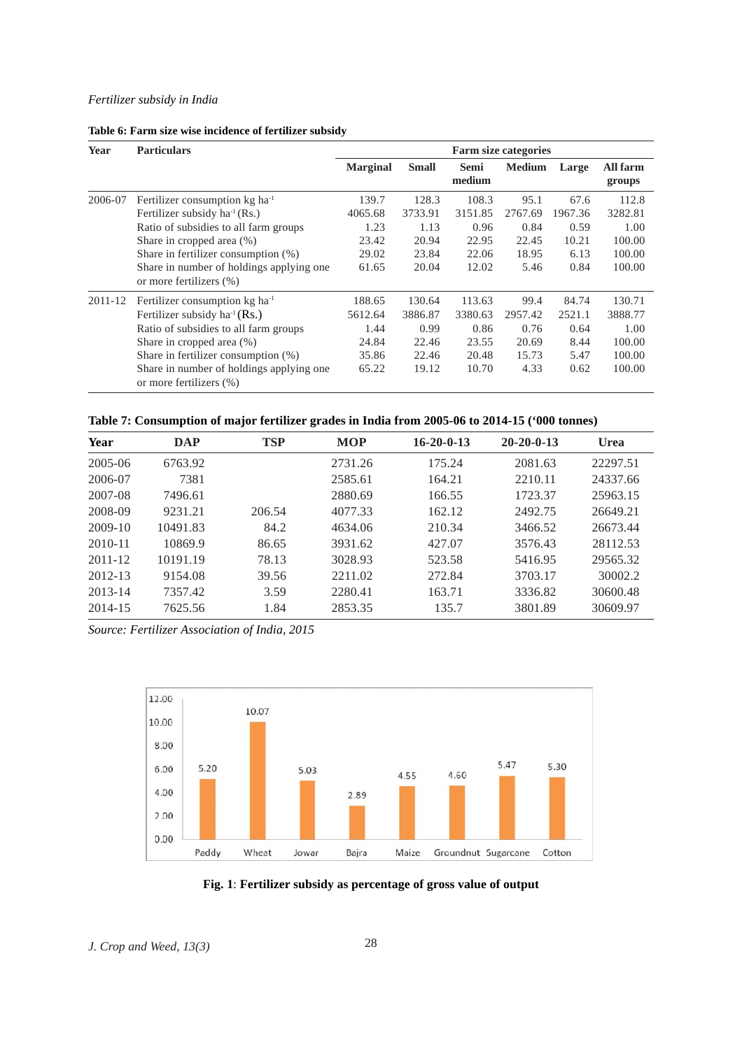### *Fertilizer subsidy in India*

|  | Table 6: Farm size wise incidence of fertilizer subsidy |  |  |
|--|---------------------------------------------------------|--|--|
|  |                                                         |  |  |

| Year    | <b>Particulars</b>                                                   |                 |              |                       | <b>Farm size categories</b> |         |                    |
|---------|----------------------------------------------------------------------|-----------------|--------------|-----------------------|-----------------------------|---------|--------------------|
|         |                                                                      | <b>Marginal</b> | <b>Small</b> | <b>Semi</b><br>medium | <b>Medium</b>               | Large   | All farm<br>groups |
| 2006-07 | Fertilizer consumption $kg \, ha^{-1}$                               | 139.7           | 128.3        | 108.3                 | 95.1                        | 67.6    | 112.8              |
|         | Fertilizer subsidy $ha^{-1}(Rs.)$                                    | 4065.68         | 3733.91      | 3151.85               | 2767.69                     | 1967.36 | 3282.81            |
|         | Ratio of subsidies to all farm groups                                | 1.23            | 1.13         | 0.96                  | 0.84                        | 0.59    | 1.00               |
|         | Share in cropped area (%)                                            | 23.42           | 20.94        | 22.95                 | 22.45                       | 10.21   | 100.00             |
|         | Share in fertilizer consumption $(\%)$                               | 29.02           | 23.84        | 22.06                 | 18.95                       | 6.13    | 100.00             |
|         | Share in number of holdings applying one.<br>or more fertilizers (%) | 61.65           | 20.04        | 12.02                 | 5.46                        | 0.84    | 100.00             |
| 2011-12 | Fertilizer consumption $kg$ ha <sup>-1</sup>                         | 188.65          | 130.64       | 113.63                | 99.4                        | 84.74   | 130.71             |
|         | Fertilizer subsidy ha <sup>-1</sup> (Rs.)                            | 5612.64         | 3886.87      | 3380.63               | 2957.42                     | 2521.1  | 3888.77            |
|         | Ratio of subsidies to all farm groups                                | 1.44            | 0.99         | 0.86                  | 0.76                        | 0.64    | 1.00               |
|         | Share in cropped area (%)                                            | 24.84           | 22.46        | 23.55                 | 20.69                       | 8.44    | 100.00             |
|         | Share in fertilizer consumption $(\%)$                               | 35.86           | 22.46        | 20.48                 | 15.73                       | 5.47    | 100.00             |
|         | Share in number of holdings applying one.<br>or more fertilizers (%) | 65.22           | 19.12        | 10.70                 | 4.33                        | 0.62    | 100.00             |

# **Table 7: Consumption of major fertilizer grades in India from 2005-06 to 2014-15 ('000 tonnes)**

| Year        | DAP      | <b>TSP</b> | <b>MOP</b> | $16 - 20 - 0 - 13$ | $20 - 20 - 0 - 13$ | <b>Urea</b> |
|-------------|----------|------------|------------|--------------------|--------------------|-------------|
| $2005 - 06$ | 6763.92  |            | 2731.26    | 175.24             | 2081.63            | 22297.51    |
| 2006-07     | 7381     |            | 2585.61    | 164.21             | 2210.11            | 24337.66    |
| 2007-08     | 7496.61  |            | 2880.69    | 166.55             | 1723.37            | 25963.15    |
| 2008-09     | 9231.21  | 206.54     | 4077.33    | 162.12             | 2492.75            | 26649.21    |
| $2009-10$   | 10491.83 | 84.2       | 4634.06    | 210.34             | 3466.52            | 26673.44    |
| 2010-11     | 10869.9  | 86.65      | 3931.62    | 427.07             | 3576.43            | 28112.53    |
| $2011 - 12$ | 10191.19 | 78.13      | 3028.93    | 523.58             | 5416.95            | 29565.32    |
| 2012-13     | 9154.08  | 39.56      | 2211.02    | 272.84             | 3703.17            | 30002.2     |
| $2013 - 14$ | 7357.42  | 3.59       | 2280.41    | 163.71             | 3336.82            | 30600.48    |
| 2014-15     | 7625.56  | 1.84       | 2853.35    | 135.7              | 3801.89            | 30609.97    |

*Source: Fertilizer Association of India, 2015*



**Fig. 1**: **Fertilizer subsidy as percentage of gross value of output**

*J. Crop and Weed, 13(3)* 28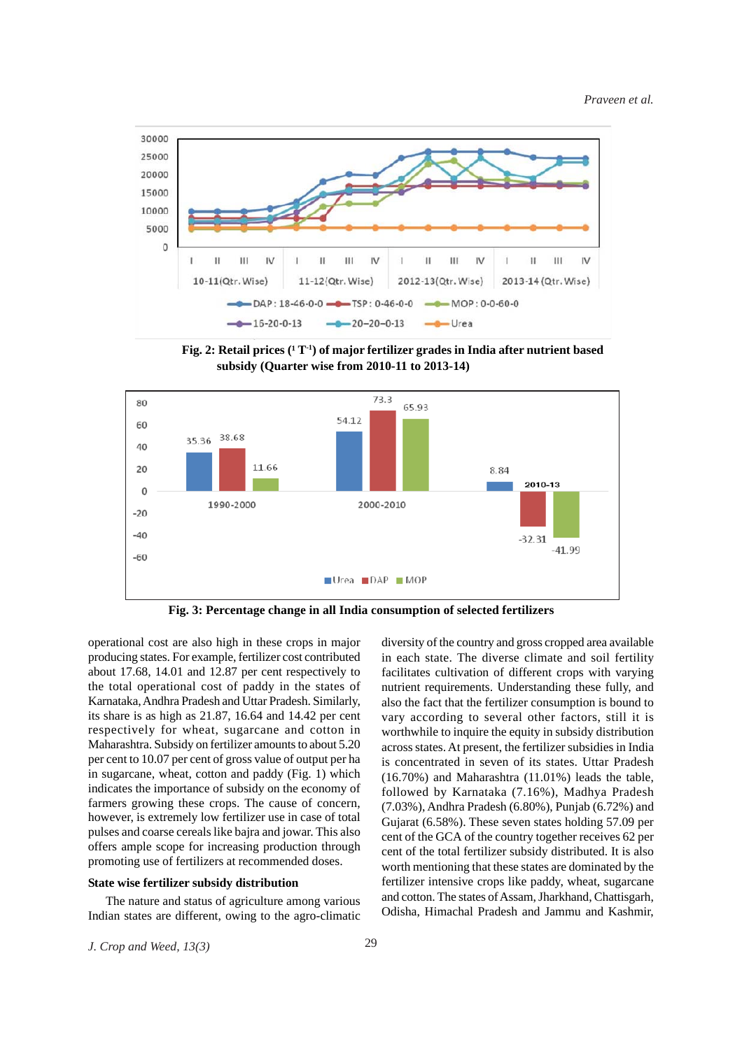

Fig. 2: Retail prices (<sup>1</sup>T<sup>-1</sup>) of major fertilizer grades in India after nutrient based **subsidy (Quarter wise from 2010-11 to 2013-14)**



**Fig. 3: Percentage change in all India consumption of selected fertilizers**

operational cost are also high in these crops in major producing states. For example, fertilizer cost contributed about 17.68, 14.01 and 12.87 per cent respectively to the total operational cost of paddy in the states of Karnataka, Andhra Pradesh and Uttar Pradesh. Similarly, its share is as high as 21.87, 16.64 and 14.42 per cent respectively for wheat, sugarcane and cotton in Maharashtra. Subsidy on fertilizer amounts to about 5.20 per cent to 10.07 per cent of gross value of output per ha in sugarcane, wheat, cotton and paddy (Fig. 1) which indicates the importance of subsidy on the economy of farmers growing these crops. The cause of concern, however, is extremely low fertilizer use in case of total pulses and coarse cereals like bajra and jowar. This also offers ample scope for increasing production through promoting use of fertilizers at recommended doses.

### **State wise fertilizer subsidy distribution**

The nature and status of agriculture among various Indian states are different, owing to the agro-climatic diversity of the country and gross cropped area available in each state. The diverse climate and soil fertility facilitates cultivation of different crops with varying nutrient requirements. Understanding these fully, and also the fact that the fertilizer consumption is bound to vary according to several other factors, still it is worthwhile to inquire the equity in subsidy distribution across states. At present, the fertilizer subsidies in India is concentrated in seven of its states. Uttar Pradesh (16.70%) and Maharashtra (11.01%) leads the table, followed by Karnataka (7.16%), Madhya Pradesh (7.03%), Andhra Pradesh (6.80%), Punjab (6.72%) and Gujarat (6.58%). These seven states holding 57.09 per cent of the GCA of the country together receives 62 per cent of the total fertilizer subsidy distributed. It is also worth mentioning that these states are dominated by the fertilizer intensive crops like paddy, wheat, sugarcane and cotton. The states of Assam, Jharkhand, Chattisgarh, Odisha, Himachal Pradesh and Jammu and Kashmir,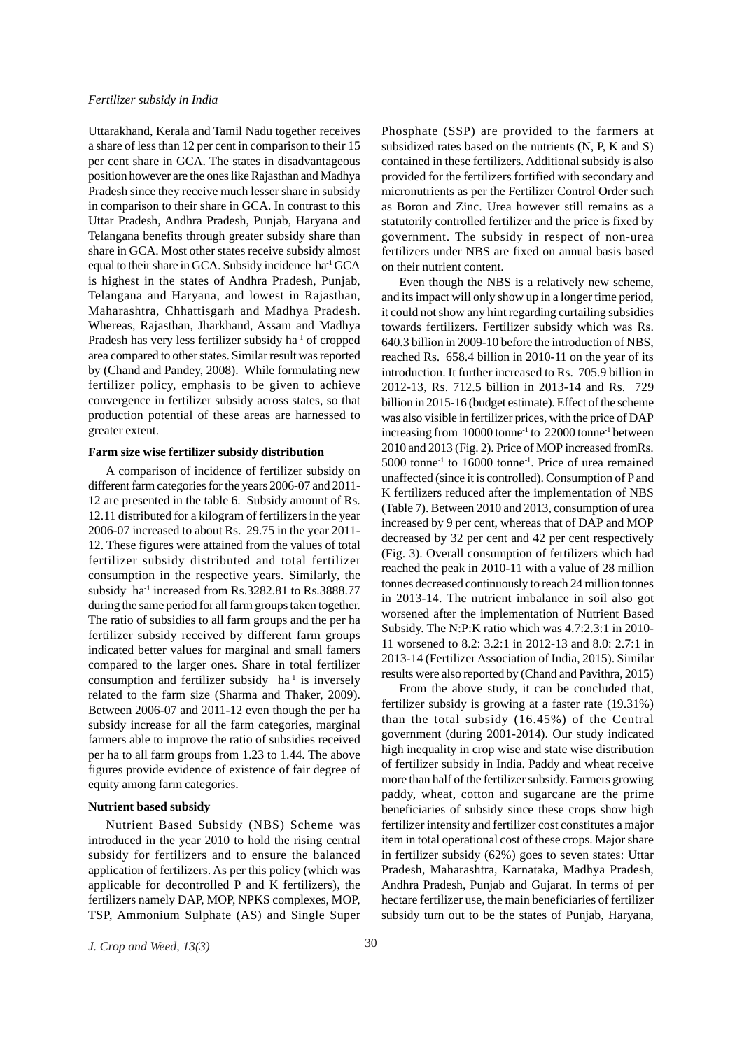Uttarakhand, Kerala and Tamil Nadu together receives a share of less than 12 per cent in comparison to their 15 per cent share in GCA. The states in disadvantageous position however are the ones like Rajasthan and Madhya Pradesh since they receive much lesser share in subsidy in comparison to their share in GCA. In contrast to this Uttar Pradesh, Andhra Pradesh, Punjab, Haryana and Telangana benefits through greater subsidy share than share in GCA. Most other states receive subsidy almost equal to their share in GCA. Subsidy incidence ha<sup>1</sup> GCA is highest in the states of Andhra Pradesh, Punjab, Telangana and Haryana, and lowest in Rajasthan, Maharashtra, Chhattisgarh and Madhya Pradesh. Whereas, Rajasthan, Jharkhand, Assam and Madhya Pradesh has very less fertilizer subsidy ha<sup>-1</sup> of cropped area compared to other states. Similar result was reported by (Chand and Pandey, 2008). While formulating new fertilizer policy, emphasis to be given to achieve convergence in fertilizer subsidy across states, so that production potential of these areas are harnessed to greater extent.

#### **Farm size wise fertilizer subsidy distribution**

A comparison of incidence of fertilizer subsidy on different farm categories for the years 2006-07 and 2011- 12 are presented in the table 6. Subsidy amount of Rs. 12.11 distributed for a kilogram of fertilizers in the year 2006-07 increased to about Rs. 29.75 in the year 2011- 12. These figures were attained from the values of total fertilizer subsidy distributed and total fertilizer consumption in the respective years. Similarly, the subsidy ha<sup>-1</sup> increased from  $Rs.3282.81$  to  $Rs.3888.77$ during the same period for all farm groups taken together. The ratio of subsidies to all farm groups and the per ha fertilizer subsidy received by different farm groups indicated better values for marginal and small famers compared to the larger ones. Share in total fertilizer consumption and fertilizer subsidy ha<sup>-1</sup> is inversely related to the farm size (Sharma and Thaker, 2009). Between 2006-07 and 2011-12 even though the per ha subsidy increase for all the farm categories, marginal farmers able to improve the ratio of subsidies received per ha to all farm groups from 1.23 to 1.44. The above figures provide evidence of existence of fair degree of equity among farm categories.

#### **Nutrient based subsidy**

Nutrient Based Subsidy (NBS) Scheme was introduced in the year 2010 to hold the rising central subsidy for fertilizers and to ensure the balanced application of fertilizers. As per this policy (which was applicable for decontrolled P and K fertilizers), the fertilizers namely DAP, MOP, NPKS complexes, MOP, TSP, Ammonium Sulphate (AS) and Single Super Phosphate (SSP) are provided to the farmers at subsidized rates based on the nutrients (N, P, K and S) contained in these fertilizers. Additional subsidy is also provided for the fertilizers fortified with secondary and micronutrients as per the Fertilizer Control Order such as Boron and Zinc. Urea however still remains as a statutorily controlled fertilizer and the price is fixed by government. The subsidy in respect of non-urea fertilizers under NBS are fixed on annual basis based on their nutrient content.

Even though the NBS is a relatively new scheme, and its impact will only show up in a longer time period, it could not show any hint regarding curtailing subsidies towards fertilizers. Fertilizer subsidy which was Rs. 640.3 billion in 2009-10 before the introduction of NBS, reached Rs. 658.4 billion in 2010-11 on the year of its introduction. It further increased to Rs. 705.9 billion in 2012-13, Rs. 712.5 billion in 2013-14 and Rs. 729 billion in 2015-16 (budget estimate). Effect of the scheme was also visible in fertilizer prices, with the price of DAP increasing from 10000 tonne-1 to 22000 tonne-1 between 2010 and 2013 (Fig. 2). Price of MOP increased fromRs. 5000 tonne-1 to 16000 tonne-1. Price of urea remained unaffected (since it is controlled). Consumption of P and K fertilizers reduced after the implementation of NBS (Table 7). Between 2010 and 2013, consumption of urea increased by 9 per cent, whereas that of DAP and MOP decreased by 32 per cent and 42 per cent respectively (Fig. 3). Overall consumption of fertilizers which had reached the peak in 2010-11 with a value of 28 million tonnes decreased continuously to reach 24 million tonnes in 2013-14. The nutrient imbalance in soil also got worsened after the implementation of Nutrient Based Subsidy. The N:P:K ratio which was 4.7:2.3:1 in 2010- 11 worsened to 8.2: 3.2:1 in 2012-13 and 8.0: 2.7:1 in 2013-14 (Fertilizer Association of India, 2015). Similar results were also reported by (Chand and Pavithra, 2015)

From the above study, it can be concluded that, fertilizer subsidy is growing at a faster rate (19.31%) than the total subsidy (16.45%) of the Central government (during 2001-2014). Our study indicated high inequality in crop wise and state wise distribution of fertilizer subsidy in India. Paddy and wheat receive more than half of the fertilizer subsidy. Farmers growing paddy, wheat, cotton and sugarcane are the prime beneficiaries of subsidy since these crops show high fertilizer intensity and fertilizer cost constitutes a major item in total operational cost of these crops. Major share in fertilizer subsidy (62%) goes to seven states: Uttar Pradesh, Maharashtra, Karnataka, Madhya Pradesh, Andhra Pradesh, Punjab and Gujarat. In terms of per hectare fertilizer use, the main beneficiaries of fertilizer subsidy turn out to be the states of Punjab, Haryana,